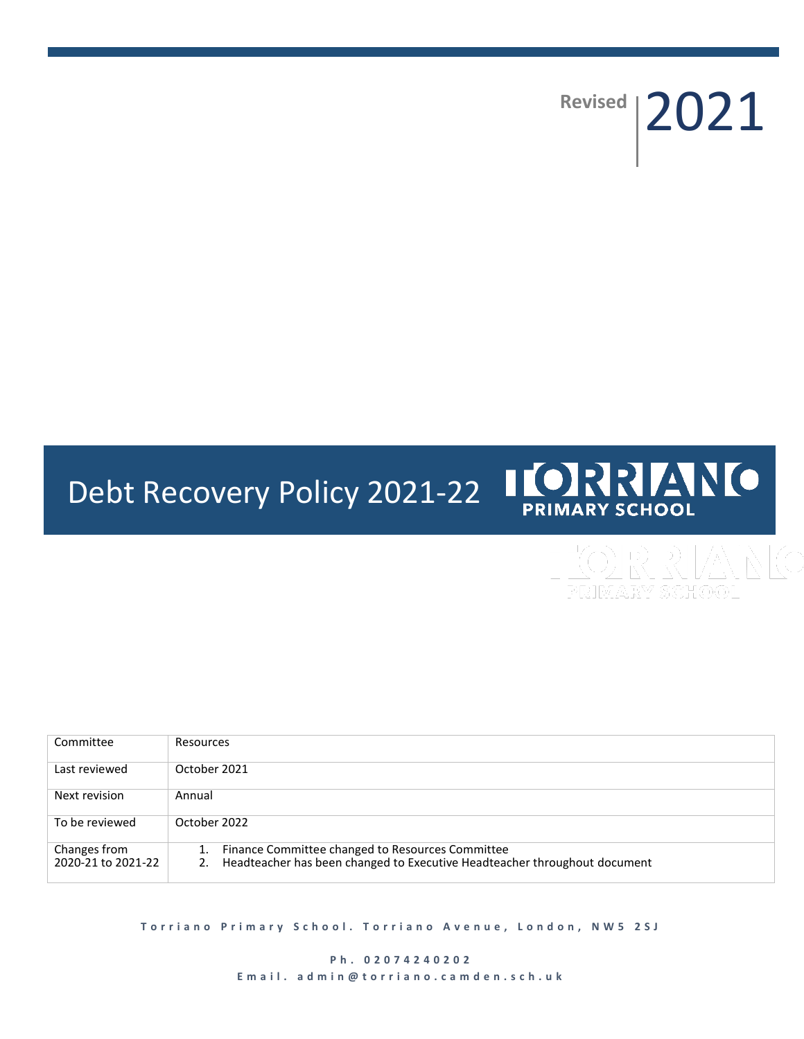Revised | 2021

# **ILORRANO** Debt Recovery Policy 2021-22 **PRIMARY SCHOOL**

| Committee                          | Resources                                                                                                                           |
|------------------------------------|-------------------------------------------------------------------------------------------------------------------------------------|
| Last reviewed                      | October 2021                                                                                                                        |
| Next revision                      | Annual                                                                                                                              |
| To be reviewed                     | October 2022                                                                                                                        |
| Changes from<br>2020-21 to 2021-22 | Finance Committee changed to Resources Committee<br>Headteacher has been changed to Executive Headteacher throughout document<br>2. |

**Torriano Primary School. Torriano Avenue, London, NW5 2SJ** 

**P h . 0 2 0 7 4 2 4 0 2 0 2** E m a il. a d m i n @ t o r r i a n o . c a m d e n . s c h . u k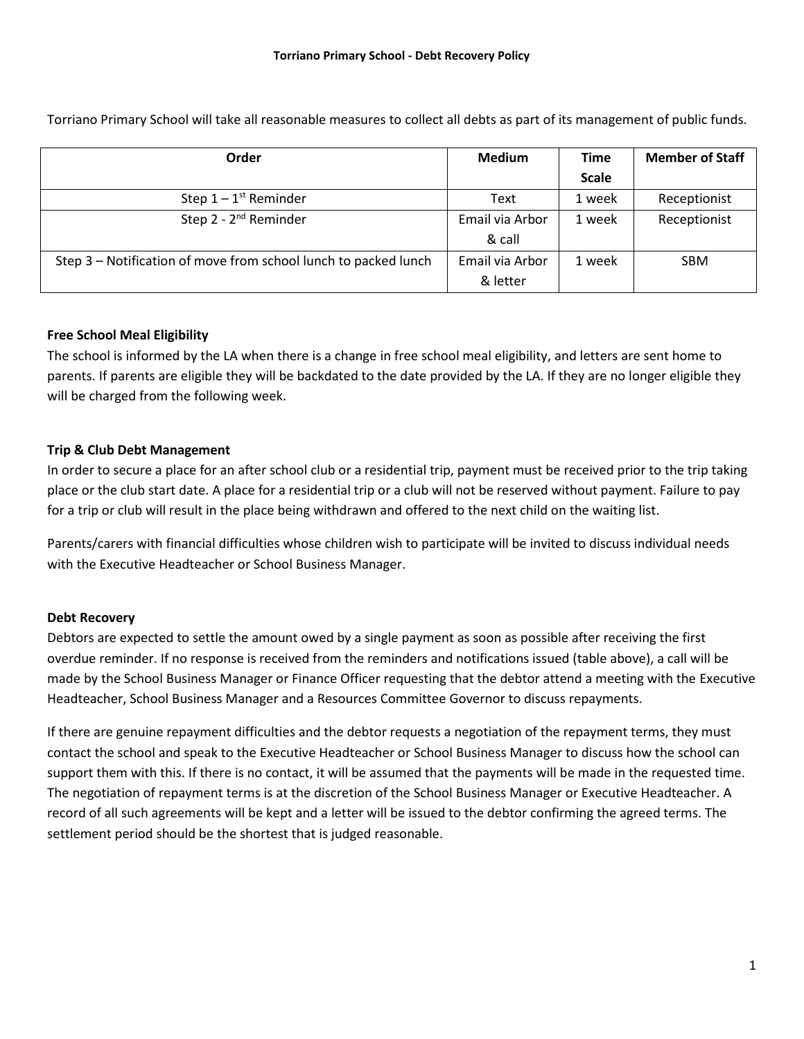Torriano Primary School will take all reasonable measures to collect all debts as part of its management of public funds.

| Order                                                           | <b>Medium</b>   | <b>Time</b>  | <b>Member of Staff</b> |
|-----------------------------------------------------------------|-----------------|--------------|------------------------|
|                                                                 |                 | <b>Scale</b> |                        |
| Step $1 - 1$ <sup>st</sup> Reminder                             | Text            | 1 week       | Receptionist           |
| Step $2 - 2^{nd}$ Reminder                                      | Email via Arbor | 1 week       | Receptionist           |
|                                                                 | & call          |              |                        |
| Step 3 – Notification of move from school lunch to packed lunch | Email via Arbor | 1 week       | <b>SBM</b>             |
|                                                                 | & letter        |              |                        |

## **Free School Meal Eligibility**

The school is informed by the LA when there is a change in free school meal eligibility, and letters are sent home to parents. If parents are eligible they will be backdated to the date provided by the LA. If they are no longer eligible they will be charged from the following week.

## **Trip & Club Debt Management**

In order to secure a place for an after school club or a residential trip, payment must be received prior to the trip taking place or the club start date. A place for a residential trip or a club will not be reserved without payment. Failure to pay for a trip or club will result in the place being withdrawn and offered to the next child on the waiting list.

Parents/carers with financial difficulties whose children wish to participate will be invited to discuss individual needs with the Executive Headteacher or School Business Manager.

#### **Debt Recovery**

Debtors are expected to settle the amount owed by a single payment as soon as possible after receiving the first overdue reminder. If no response is received from the reminders and notifications issued (table above), a call will be made by the School Business Manager or Finance Officer requesting that the debtor attend a meeting with the Executive Headteacher, School Business Manager and a Resources Committee Governor to discuss repayments.

If there are genuine repayment difficulties and the debtor requests a negotiation of the repayment terms, they must contact the school and speak to the Executive Headteacher or School Business Manager to discuss how the school can support them with this. If there is no contact, it will be assumed that the payments will be made in the requested time. The negotiation of repayment terms is at the discretion of the School Business Manager or Executive Headteacher. A record of all such agreements will be kept and a letter will be issued to the debtor confirming the agreed terms. The settlement period should be the shortest that is judged reasonable.